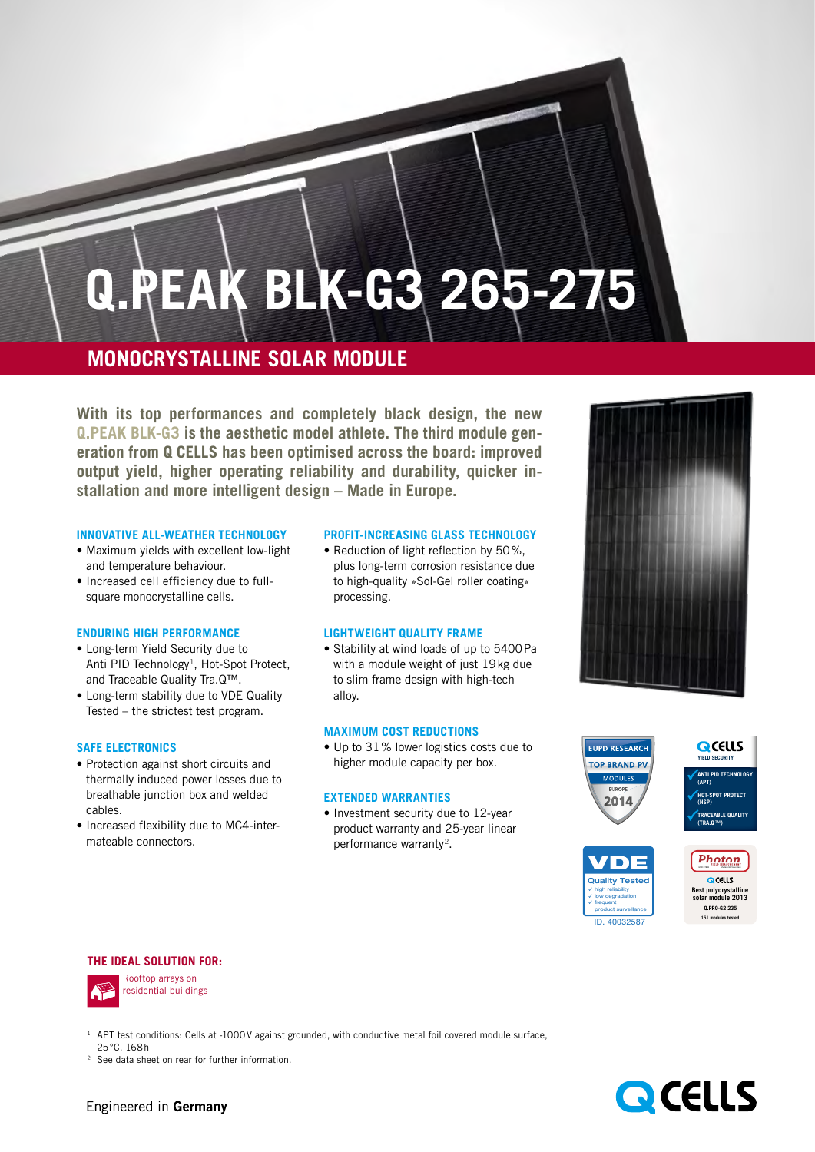# **Q.Peak blk-G3 265-275**

## **Monocrystalline Solar module**

**With its top performances and completely black design, the new Q.PEAK BLK-G3 is the aesthetic model athlete. The third module generation from Q CELLS has been optimised across the board: improved output yield, higher operating reliability and durability, quicker installation and more intelligent design – Made in Europe.**

#### **INNOVATIVE ALL-WEATHER TECHNOLOGY**

- **•** Maximum yields with excellent low-light and temperature behaviour.
- **•** Increased cell efficiency due to fullsquare monocrystalline cells.

#### **ENDURING HIGH PERFORMANCE**

- **•** Long-term Yield Security due to Anti PID Technology<sup>1</sup>, Hot-Spot Protect, and Traceable Quality Tra.Q™.
- **•** Long-term stability due to VDE Quality Tested – the strictest test program.

#### **SAFE ELECTRONICS**

- **•** Protection against short circuits and thermally induced power losses due to breathable junction box and welded cables.
- Increased flexibility due to MC4-intermateable connectors.

#### **PROFIT-INCREASING GLASSTECHNOLOGY**

**•** Reduction of light reflection by 50%, plus long-term corrosion resistance due to high-quality »Sol-Gel roller coating« processing.

#### **LIGHTWEIGHT QUALITY FRAME**

• Stability at wind loads of up to 5400 Pa with a module weight of just 19kg due to slim frame design with high-tech alloy.

#### **MAXIMUM COST REDUCTIONS**

**•** Up to 31% lower logistics costs due to higher module capacity per box.

#### **EXTENDED Warranties**

**•** Investment security due to 12-year product warranty and 25-year linear performance warranty<sup>2</sup>.





ID. 40032587

#### **The Ideal Solution for:**



<sup>1</sup> APT test conditions: Cells at -1000V against grounded, with conductive metal foil covered module surface, 25°C, 168h

See data sheet on rear for further information.